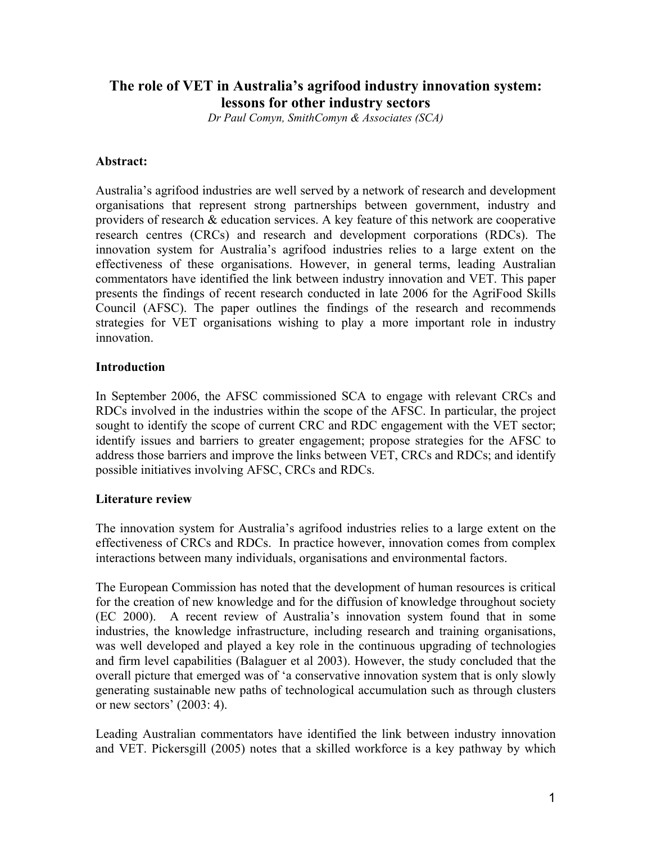# **The role of VET in Australia's agrifood industry innovation system: lessons for other industry sectors**

*Dr Paul Comyn, SmithComyn & Associates (SCA)* 

## **Abstract:**

Australia's agrifood industries are well served by a network of research and development organisations that represent strong partnerships between government, industry and providers of research & education services. A key feature of this network are cooperative research centres (CRCs) and research and development corporations (RDCs). The innovation system for Australia's agrifood industries relies to a large extent on the effectiveness of these organisations. However, in general terms, leading Australian commentators have identified the link between industry innovation and VET. This paper presents the findings of recent research conducted in late 2006 for the AgriFood Skills Council (AFSC). The paper outlines the findings of the research and recommends strategies for VET organisations wishing to play a more important role in industry innovation.

# **Introduction**

In September 2006, the AFSC commissioned SCA to engage with relevant CRCs and RDCs involved in the industries within the scope of the AFSC. In particular, the project sought to identify the scope of current CRC and RDC engagement with the VET sector; identify issues and barriers to greater engagement; propose strategies for the AFSC to address those barriers and improve the links between VET, CRCs and RDCs; and identify possible initiatives involving AFSC, CRCs and RDCs.

## **Literature review**

The innovation system for Australia's agrifood industries relies to a large extent on the effectiveness of CRCs and RDCs. In practice however, innovation comes from complex interactions between many individuals, organisations and environmental factors.

The European Commission has noted that the development of human resources is critical for the creation of new knowledge and for the diffusion of knowledge throughout society (EC 2000). A recent review of Australia's innovation system found that in some industries, the knowledge infrastructure, including research and training organisations, was well developed and played a key role in the continuous upgrading of technologies and firm level capabilities (Balaguer et al 2003). However, the study concluded that the overall picture that emerged was of 'a conservative innovation system that is only slowly generating sustainable new paths of technological accumulation such as through clusters or new sectors' (2003: 4).

Leading Australian commentators have identified the link between industry innovation and VET. Pickersgill (2005) notes that a skilled workforce is a key pathway by which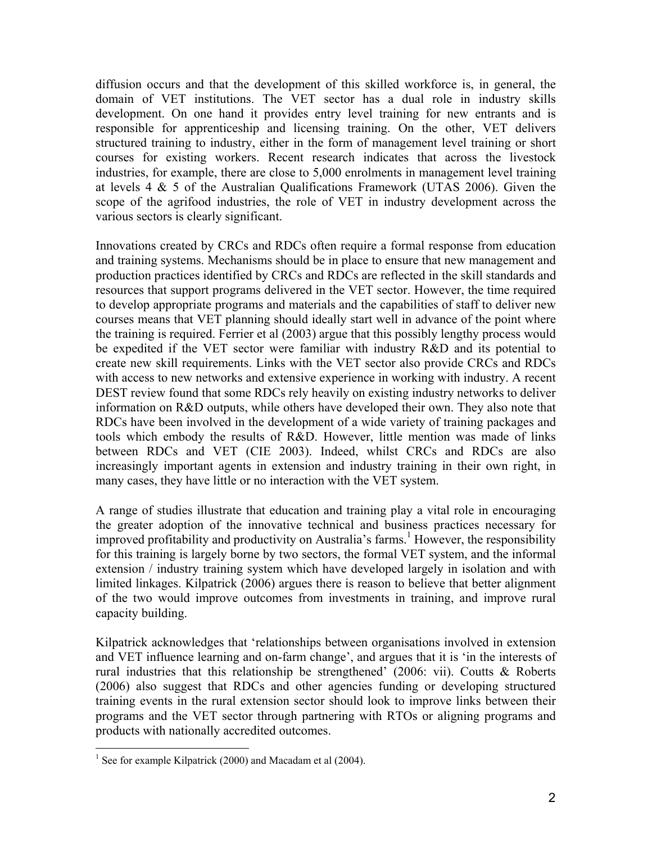diffusion occurs and that the development of this skilled workforce is, in general, the domain of VET institutions. The VET sector has a dual role in industry skills development. On one hand it provides entry level training for new entrants and is responsible for apprenticeship and licensing training. On the other, VET delivers structured training to industry, either in the form of management level training or short courses for existing workers. Recent research indicates that across the livestock industries, for example, there are close to 5,000 enrolments in management level training at levels 4 & 5 of the Australian Qualifications Framework (UTAS 2006). Given the scope of the agrifood industries, the role of VET in industry development across the various sectors is clearly significant.

Innovations created by CRCs and RDCs often require a formal response from education and training systems. Mechanisms should be in place to ensure that new management and production practices identified by CRCs and RDCs are reflected in the skill standards and resources that support programs delivered in the VET sector. However, the time required to develop appropriate programs and materials and the capabilities of staff to deliver new courses means that VET planning should ideally start well in advance of the point where the training is required. Ferrier et al (2003) argue that this possibly lengthy process would be expedited if the VET sector were familiar with industry R&D and its potential to create new skill requirements. Links with the VET sector also provide CRCs and RDCs with access to new networks and extensive experience in working with industry. A recent DEST review found that some RDCs rely heavily on existing industry networks to deliver information on R&D outputs, while others have developed their own. They also note that RDCs have been involved in the development of a wide variety of training packages and tools which embody the results of R&D. However, little mention was made of links between RDCs and VET (CIE 2003). Indeed, whilst CRCs and RDCs are also increasingly important agents in extension and industry training in their own right, in many cases, they have little or no interaction with the VET system.

A range of studies illustrate that education and training play a vital role in encouraging the greater adoption of the innovative technical and business practices necessary for improved profitability and productivity on Australia's farms.<sup>1</sup> However, the responsibility for this training is largely borne by two sectors, the formal VET system, and the informal extension / industry training system which have developed largely in isolation and with limited linkages. Kilpatrick (2006) argues there is reason to believe that better alignment of the two would improve outcomes from investments in training, and improve rural capacity building.

Kilpatrick acknowledges that 'relationships between organisations involved in extension and VET influence learning and on-farm change', and argues that it is 'in the interests of rural industries that this relationship be strengthened' (2006: vii). Coutts & Roberts (2006) also suggest that RDCs and other agencies funding or developing structured training events in the rural extension sector should look to improve links between their programs and the VET sector through partnering with RTOs or aligning programs and products with nationally accredited outcomes.

l

<sup>&</sup>lt;sup>1</sup> See for example Kilpatrick (2000) and Macadam et al (2004).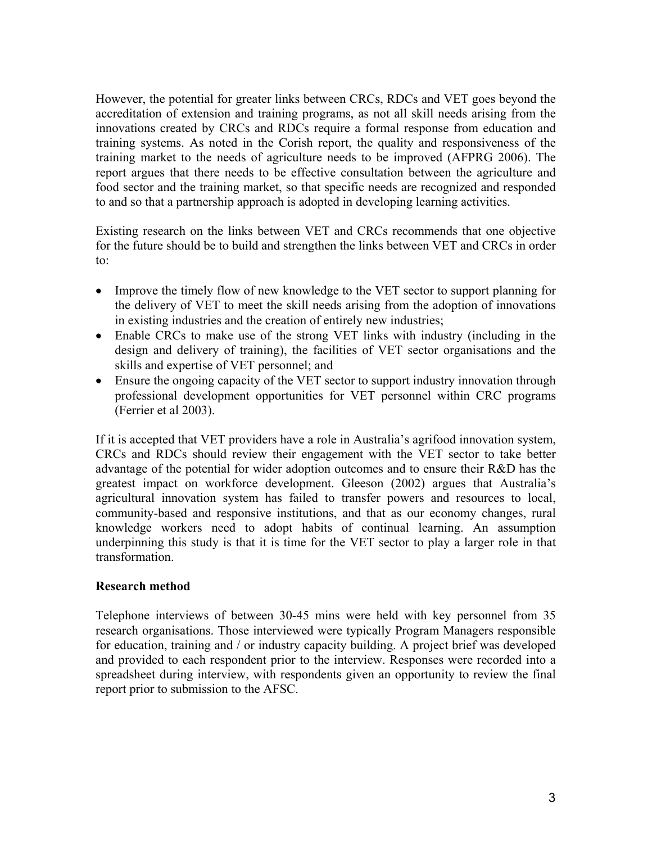However, the potential for greater links between CRCs, RDCs and VET goes beyond the accreditation of extension and training programs, as not all skill needs arising from the innovations created by CRCs and RDCs require a formal response from education and training systems. As noted in the Corish report, the quality and responsiveness of the training market to the needs of agriculture needs to be improved (AFPRG 2006). The report argues that there needs to be effective consultation between the agriculture and food sector and the training market, so that specific needs are recognized and responded to and so that a partnership approach is adopted in developing learning activities.

Existing research on the links between VET and CRCs recommends that one objective for the future should be to build and strengthen the links between VET and CRCs in order to:

- Improve the timely flow of new knowledge to the VET sector to support planning for the delivery of VET to meet the skill needs arising from the adoption of innovations in existing industries and the creation of entirely new industries;
- Enable CRCs to make use of the strong VET links with industry (including in the design and delivery of training), the facilities of VET sector organisations and the skills and expertise of VET personnel; and
- Ensure the ongoing capacity of the VET sector to support industry innovation through professional development opportunities for VET personnel within CRC programs (Ferrier et al 2003).

If it is accepted that VET providers have a role in Australia's agrifood innovation system, CRCs and RDCs should review their engagement with the VET sector to take better advantage of the potential for wider adoption outcomes and to ensure their R&D has the greatest impact on workforce development. Gleeson (2002) argues that Australia's agricultural innovation system has failed to transfer powers and resources to local, community-based and responsive institutions, and that as our economy changes, rural knowledge workers need to adopt habits of continual learning. An assumption underpinning this study is that it is time for the VET sector to play a larger role in that transformation.

# **Research method**

Telephone interviews of between 30-45 mins were held with key personnel from 35 research organisations. Those interviewed were typically Program Managers responsible for education, training and / or industry capacity building. A project brief was developed and provided to each respondent prior to the interview. Responses were recorded into a spreadsheet during interview, with respondents given an opportunity to review the final report prior to submission to the AFSC.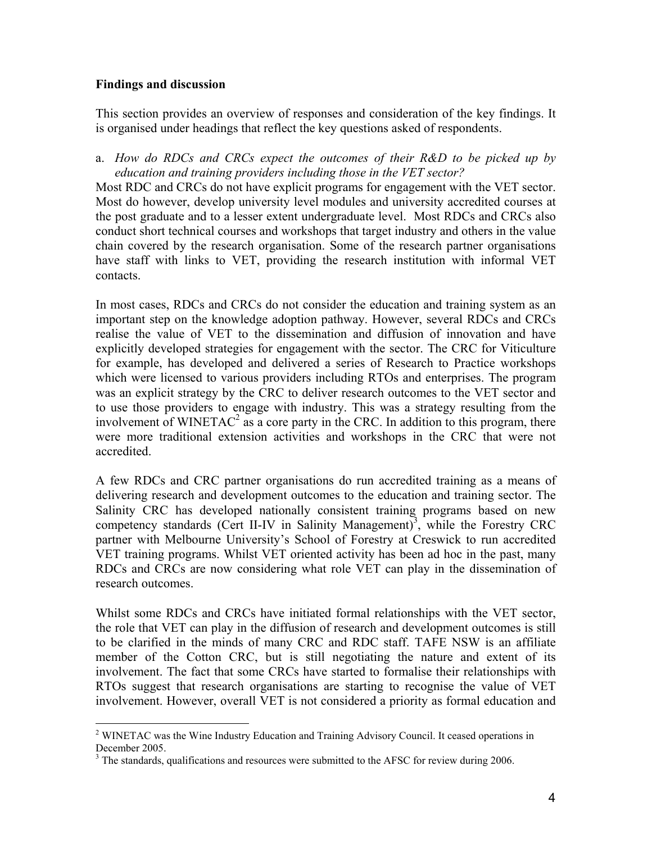## **Findings and discussion**

l

This section provides an overview of responses and consideration of the key findings. It is organised under headings that reflect the key questions asked of respondents.

a. *How do RDCs and CRCs expect the outcomes of their R&D to be picked up by education and training providers including those in the VET sector?*

Most RDC and CRCs do not have explicit programs for engagement with the VET sector. Most do however, develop university level modules and university accredited courses at the post graduate and to a lesser extent undergraduate level. Most RDCs and CRCs also conduct short technical courses and workshops that target industry and others in the value chain covered by the research organisation. Some of the research partner organisations have staff with links to VET, providing the research institution with informal VET contacts.

In most cases, RDCs and CRCs do not consider the education and training system as an important step on the knowledge adoption pathway. However, several RDCs and CRCs realise the value of VET to the dissemination and diffusion of innovation and have explicitly developed strategies for engagement with the sector. The CRC for Viticulture for example, has developed and delivered a series of Research to Practice workshops which were licensed to various providers including RTOs and enterprises. The program was an explicit strategy by the CRC to deliver research outcomes to the VET sector and to use those providers to engage with industry. This was a strategy resulting from the involvement of WINETAC<sup>2</sup> as a core party in the CRC. In addition to this program, there were more traditional extension activities and workshops in the CRC that were not accredited.

A few RDCs and CRC partner organisations do run accredited training as a means of delivering research and development outcomes to the education and training sector. The Salinity CRC has developed nationally consistent training programs based on new competency standards (Cert II-IV in Salinity Management)<sup>3</sup>, while the Forestry CRC partner with Melbourne University's School of Forestry at Creswick to run accredited VET training programs. Whilst VET oriented activity has been ad hoc in the past, many RDCs and CRCs are now considering what role VET can play in the dissemination of research outcomes.

Whilst some RDCs and CRCs have initiated formal relationships with the VET sector, the role that VET can play in the diffusion of research and development outcomes is still to be clarified in the minds of many CRC and RDC staff. TAFE NSW is an affiliate member of the Cotton CRC, but is still negotiating the nature and extent of its involvement. The fact that some CRCs have started to formalise their relationships with RTOs suggest that research organisations are starting to recognise the value of VET involvement. However, overall VET is not considered a priority as formal education and

<sup>&</sup>lt;sup>2</sup> WINETAC was the Wine Industry Education and Training Advisory Council. It ceased operations in December 2005.

 $3$  The standards, qualifications and resources were submitted to the AFSC for review during 2006.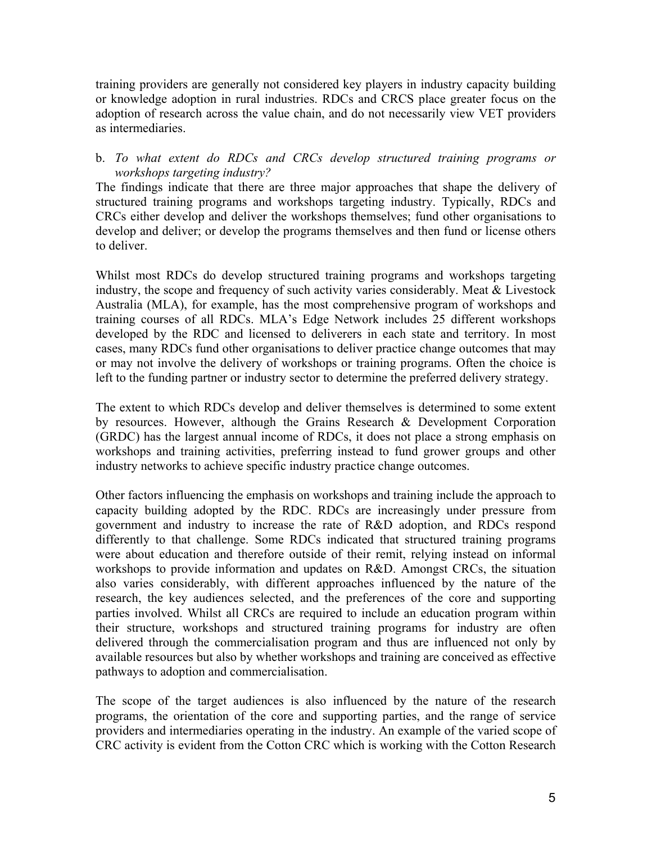training providers are generally not considered key players in industry capacity building or knowledge adoption in rural industries. RDCs and CRCS place greater focus on the adoption of research across the value chain, and do not necessarily view VET providers as intermediaries.

# b. *To what extent do RDCs and CRCs develop structured training programs or workshops targeting industry?*

The findings indicate that there are three major approaches that shape the delivery of structured training programs and workshops targeting industry. Typically, RDCs and CRCs either develop and deliver the workshops themselves; fund other organisations to develop and deliver; or develop the programs themselves and then fund or license others to deliver.

Whilst most RDCs do develop structured training programs and workshops targeting industry, the scope and frequency of such activity varies considerably. Meat & Livestock Australia (MLA), for example, has the most comprehensive program of workshops and training courses of all RDCs. MLA's Edge Network includes 25 different workshops developed by the RDC and licensed to deliverers in each state and territory. In most cases, many RDCs fund other organisations to deliver practice change outcomes that may or may not involve the delivery of workshops or training programs. Often the choice is left to the funding partner or industry sector to determine the preferred delivery strategy.

The extent to which RDCs develop and deliver themselves is determined to some extent by resources. However, although the Grains Research & Development Corporation (GRDC) has the largest annual income of RDCs, it does not place a strong emphasis on workshops and training activities, preferring instead to fund grower groups and other industry networks to achieve specific industry practice change outcomes.

Other factors influencing the emphasis on workshops and training include the approach to capacity building adopted by the RDC. RDCs are increasingly under pressure from government and industry to increase the rate of R&D adoption, and RDCs respond differently to that challenge. Some RDCs indicated that structured training programs were about education and therefore outside of their remit, relying instead on informal workshops to provide information and updates on R&D. Amongst CRCs, the situation also varies considerably, with different approaches influenced by the nature of the research, the key audiences selected, and the preferences of the core and supporting parties involved. Whilst all CRCs are required to include an education program within their structure, workshops and structured training programs for industry are often delivered through the commercialisation program and thus are influenced not only by available resources but also by whether workshops and training are conceived as effective pathways to adoption and commercialisation.

The scope of the target audiences is also influenced by the nature of the research programs, the orientation of the core and supporting parties, and the range of service providers and intermediaries operating in the industry. An example of the varied scope of CRC activity is evident from the Cotton CRC which is working with the Cotton Research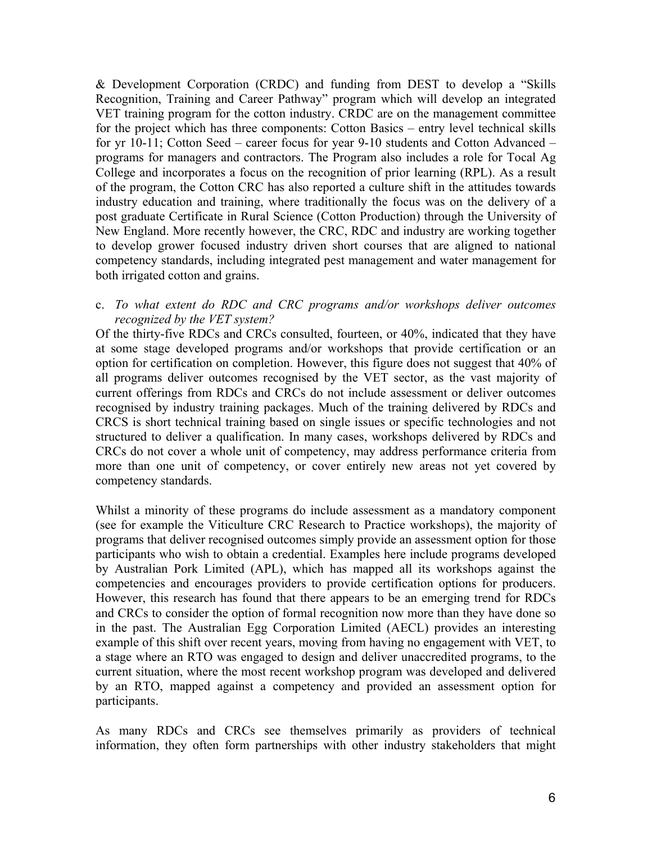& Development Corporation (CRDC) and funding from DEST to develop a "Skills Recognition, Training and Career Pathway" program which will develop an integrated VET training program for the cotton industry. CRDC are on the management committee for the project which has three components: Cotton Basics – entry level technical skills for yr 10-11; Cotton Seed – career focus for year 9-10 students and Cotton Advanced – programs for managers and contractors. The Program also includes a role for Tocal Ag College and incorporates a focus on the recognition of prior learning (RPL). As a result of the program, the Cotton CRC has also reported a culture shift in the attitudes towards industry education and training, where traditionally the focus was on the delivery of a post graduate Certificate in Rural Science (Cotton Production) through the University of New England. More recently however, the CRC, RDC and industry are working together to develop grower focused industry driven short courses that are aligned to national competency standards, including integrated pest management and water management for both irrigated cotton and grains.

## c. *To what extent do RDC and CRC programs and/or workshops deliver outcomes recognized by the VET system?*

Of the thirty-five RDCs and CRCs consulted, fourteen, or 40%, indicated that they have at some stage developed programs and/or workshops that provide certification or an option for certification on completion. However, this figure does not suggest that 40% of all programs deliver outcomes recognised by the VET sector, as the vast majority of current offerings from RDCs and CRCs do not include assessment or deliver outcomes recognised by industry training packages. Much of the training delivered by RDCs and CRCS is short technical training based on single issues or specific technologies and not structured to deliver a qualification. In many cases, workshops delivered by RDCs and CRCs do not cover a whole unit of competency, may address performance criteria from more than one unit of competency, or cover entirely new areas not yet covered by competency standards.

Whilst a minority of these programs do include assessment as a mandatory component (see for example the Viticulture CRC Research to Practice workshops), the majority of programs that deliver recognised outcomes simply provide an assessment option for those participants who wish to obtain a credential. Examples here include programs developed by Australian Pork Limited (APL), which has mapped all its workshops against the competencies and encourages providers to provide certification options for producers. However, this research has found that there appears to be an emerging trend for RDCs and CRCs to consider the option of formal recognition now more than they have done so in the past. The Australian Egg Corporation Limited (AECL) provides an interesting example of this shift over recent years, moving from having no engagement with VET, to a stage where an RTO was engaged to design and deliver unaccredited programs, to the current situation, where the most recent workshop program was developed and delivered by an RTO, mapped against a competency and provided an assessment option for participants.

As many RDCs and CRCs see themselves primarily as providers of technical information, they often form partnerships with other industry stakeholders that might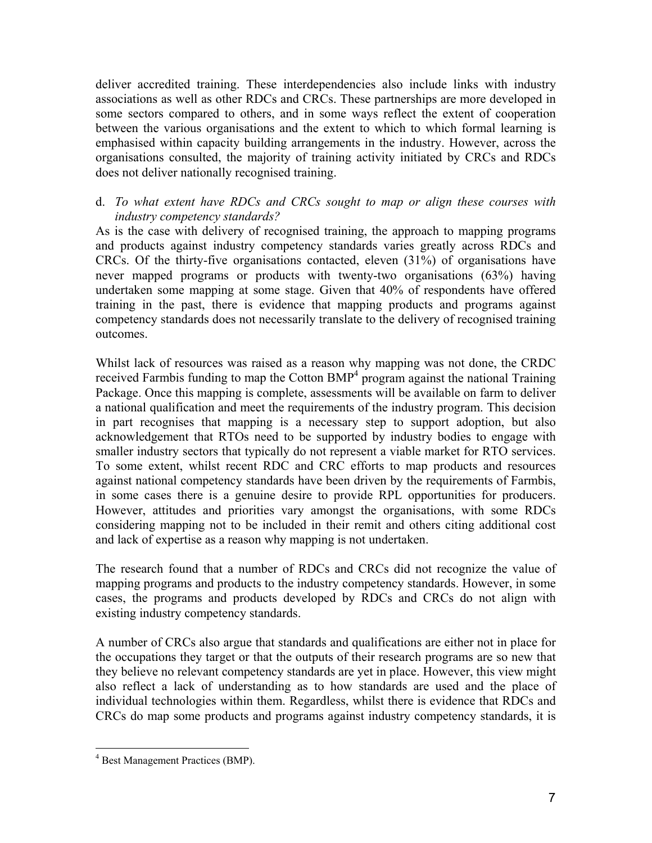deliver accredited training. These interdependencies also include links with industry associations as well as other RDCs and CRCs. These partnerships are more developed in some sectors compared to others, and in some ways reflect the extent of cooperation between the various organisations and the extent to which to which formal learning is emphasised within capacity building arrangements in the industry. However, across the organisations consulted, the majority of training activity initiated by CRCs and RDCs does not deliver nationally recognised training.

# d. *To what extent have RDCs and CRCs sought to map or align these courses with industry competency standards?*

As is the case with delivery of recognised training, the approach to mapping programs and products against industry competency standards varies greatly across RDCs and CRCs. Of the thirty-five organisations contacted, eleven (31%) of organisations have never mapped programs or products with twenty-two organisations (63%) having undertaken some mapping at some stage. Given that 40% of respondents have offered training in the past, there is evidence that mapping products and programs against competency standards does not necessarily translate to the delivery of recognised training outcomes.

Whilst lack of resources was raised as a reason why mapping was not done, the CRDC received Farmbis funding to map the Cotton BMP<sup>4</sup> program against the national Training Package. Once this mapping is complete, assessments will be available on farm to deliver a national qualification and meet the requirements of the industry program. This decision in part recognises that mapping is a necessary step to support adoption, but also acknowledgement that RTOs need to be supported by industry bodies to engage with smaller industry sectors that typically do not represent a viable market for RTO services. To some extent, whilst recent RDC and CRC efforts to map products and resources against national competency standards have been driven by the requirements of Farmbis, in some cases there is a genuine desire to provide RPL opportunities for producers. However, attitudes and priorities vary amongst the organisations, with some RDCs considering mapping not to be included in their remit and others citing additional cost and lack of expertise as a reason why mapping is not undertaken.

The research found that a number of RDCs and CRCs did not recognize the value of mapping programs and products to the industry competency standards. However, in some cases, the programs and products developed by RDCs and CRCs do not align with existing industry competency standards.

A number of CRCs also argue that standards and qualifications are either not in place for the occupations they target or that the outputs of their research programs are so new that they believe no relevant competency standards are yet in place. However, this view might also reflect a lack of understanding as to how standards are used and the place of individual technologies within them. Regardless, whilst there is evidence that RDCs and CRCs do map some products and programs against industry competency standards, it is

l

<sup>4</sup> Best Management Practices (BMP).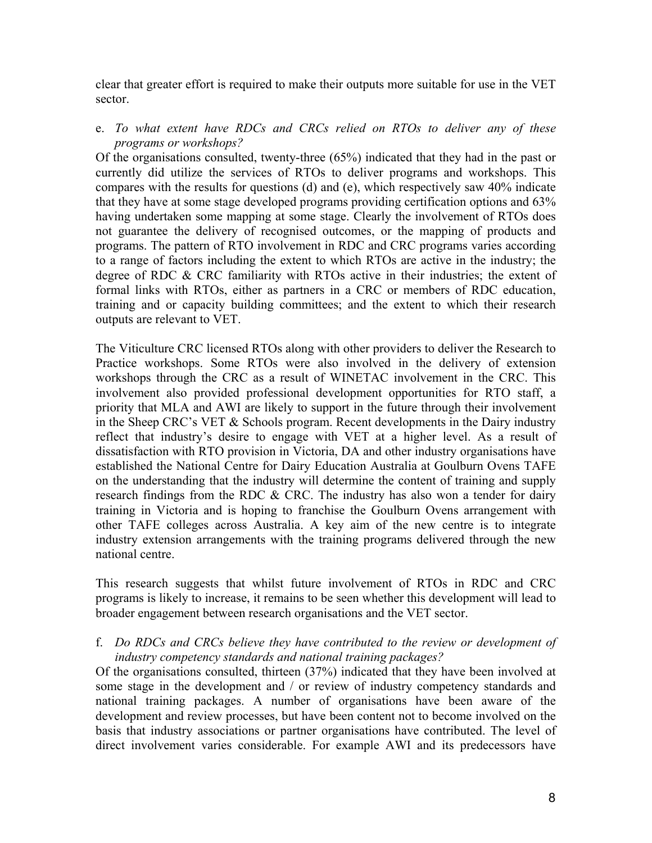clear that greater effort is required to make their outputs more suitable for use in the VET sector.

# e. *To what extent have RDCs and CRCs relied on RTOs to deliver any of these programs or workshops?*

Of the organisations consulted, twenty-three (65%) indicated that they had in the past or currently did utilize the services of RTOs to deliver programs and workshops. This compares with the results for questions (d) and (e), which respectively saw 40% indicate that they have at some stage developed programs providing certification options and 63% having undertaken some mapping at some stage. Clearly the involvement of RTOs does not guarantee the delivery of recognised outcomes, or the mapping of products and programs. The pattern of RTO involvement in RDC and CRC programs varies according to a range of factors including the extent to which RTOs are active in the industry; the degree of RDC & CRC familiarity with RTOs active in their industries; the extent of formal links with RTOs, either as partners in a CRC or members of RDC education, training and or capacity building committees; and the extent to which their research outputs are relevant to VET.

The Viticulture CRC licensed RTOs along with other providers to deliver the Research to Practice workshops. Some RTOs were also involved in the delivery of extension workshops through the CRC as a result of WINETAC involvement in the CRC. This involvement also provided professional development opportunities for RTO staff, a priority that MLA and AWI are likely to support in the future through their involvement in the Sheep CRC's VET & Schools program. Recent developments in the Dairy industry reflect that industry's desire to engage with VET at a higher level. As a result of dissatisfaction with RTO provision in Victoria, DA and other industry organisations have established the National Centre for Dairy Education Australia at Goulburn Ovens TAFE on the understanding that the industry will determine the content of training and supply research findings from the RDC & CRC. The industry has also won a tender for dairy training in Victoria and is hoping to franchise the Goulburn Ovens arrangement with other TAFE colleges across Australia. A key aim of the new centre is to integrate industry extension arrangements with the training programs delivered through the new national centre.

This research suggests that whilst future involvement of RTOs in RDC and CRC programs is likely to increase, it remains to be seen whether this development will lead to broader engagement between research organisations and the VET sector.

f. *Do RDCs and CRCs believe they have contributed to the review or development of industry competency standards and national training packages?*

Of the organisations consulted, thirteen (37%) indicated that they have been involved at some stage in the development and / or review of industry competency standards and national training packages. A number of organisations have been aware of the development and review processes, but have been content not to become involved on the basis that industry associations or partner organisations have contributed. The level of direct involvement varies considerable. For example AWI and its predecessors have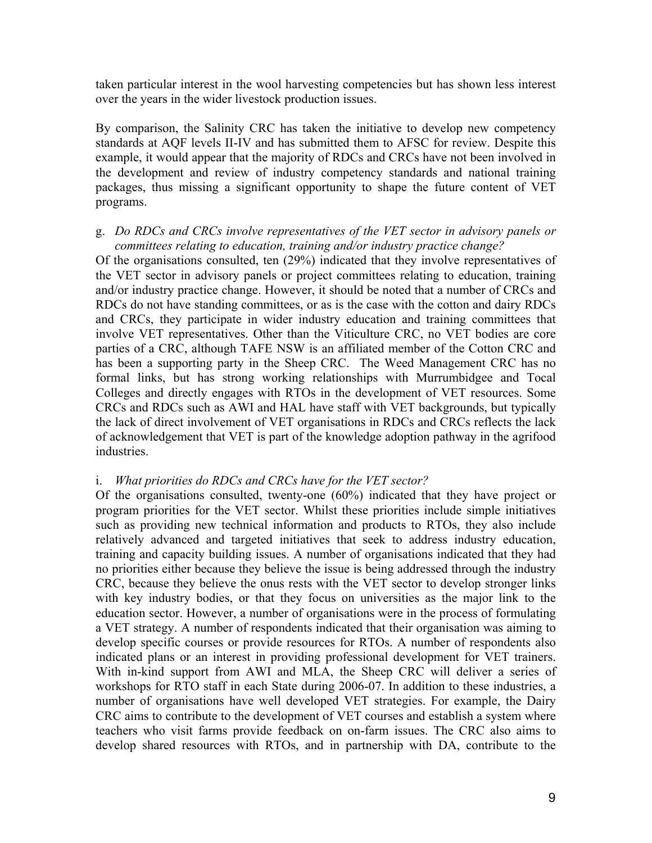taken particular interest in the wool harvesting competencies but has shown less interest over the years in the wider livestock production issues.

By comparison, the Salinity CRC has taken the initiative to develop new competency standards at AQF levels II-IV and has submitted them to AFSC for review. Despite this example, it would appear that the majority of RDCs and CRCs have not been involved in the development and review of industry competency standards and national training packages, thus missing a significant opportunity to shape the future content of VET programs.

#### g. *Do RDCs and CRCs involve representatives of the VET sector in advisory panels or committees relating to education, training and/or industry practice change?*

Of the organisations consulted, ten (29%) indicated that they involve representatives of the VET sector in advisory panels or project committees relating to education, training and/or industry practice change. However, it should be noted that a number of CRCs and RDCs do not have standing committees, or as is the case with the cotton and dairy RDCs and CRCs, they participate in wider industry education and training committees that involve VET representatives. Other than the Viticulture CRC, no VET bodies are core parties of a CRC, although TAFE NSW is an affiliated member of the Cotton CRC and has been a supporting party in the Sheep CRC. The Weed Management CRC has no formal links, but has strong working relationships with Murrumbidgee and Tocal Colleges and directly engages with RTOs in the development of VET resources. Some CRCs and RDCs such as AWI and HAL have staff with VET backgrounds, but typically the lack of direct involvement of VET organisations in RDCs and CRCs reflects the lack of acknowledgement that VET is part of the knowledge adoption pathway in the agrifood industries.

#### i. *What priorities do RDCs and CRCs have for the VET sector?*

Of the organisations consulted, twenty-one (60%) indicated that they have project or program priorities for the VET sector. Whilst these priorities include simple initiatives such as providing new technical information and products to RTOs, they also include relatively advanced and targeted initiatives that seek to address industry education, training and capacity building issues. A number of organisations indicated that they had no priorities either because they believe the issue is being addressed through the industry CRC, because they believe the onus rests with the VET sector to develop stronger links with key industry bodies, or that they focus on universities as the major link to the education sector. However, a number of organisations were in the process of formulating a VET strategy. A number of respondents indicated that their organisation was aiming to develop specific courses or provide resources for RTOs. A number of respondents also indicated plans or an interest in providing professional development for VET trainers. With in-kind support from AWI and MLA, the Sheep CRC will deliver a series of workshops for RTO staff in each State during 2006-07. In addition to these industries, a number of organisations have well developed VET strategies. For example, the Dairy CRC aims to contribute to the development of VET courses and establish a system where teachers who visit farms provide feedback on on-farm issues. The CRC also aims to develop shared resources with RTOs, and in partnership with DA, contribute to the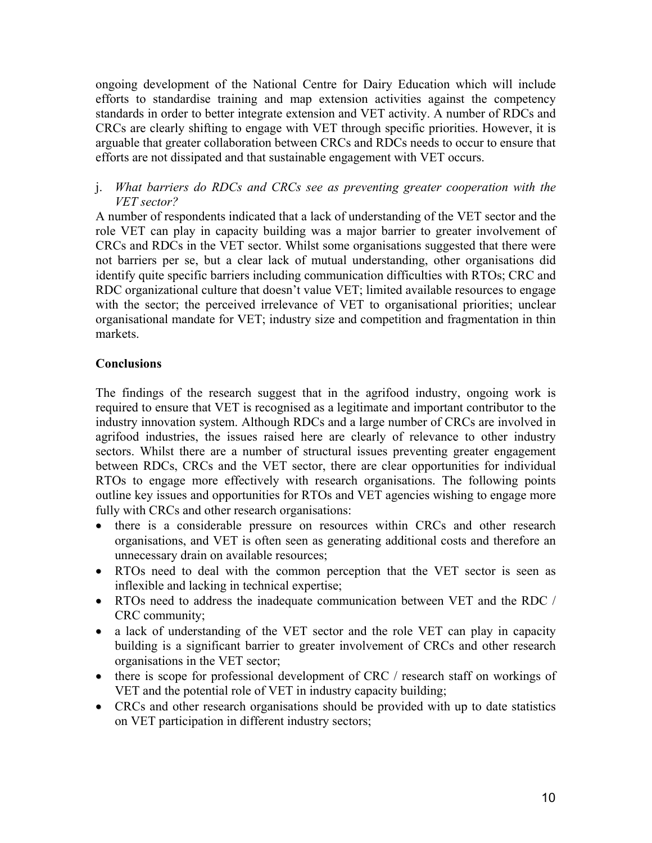ongoing development of the National Centre for Dairy Education which will include efforts to standardise training and map extension activities against the competency standards in order to better integrate extension and VET activity. A number of RDCs and CRCs are clearly shifting to engage with VET through specific priorities. However, it is arguable that greater collaboration between CRCs and RDCs needs to occur to ensure that efforts are not dissipated and that sustainable engagement with VET occurs.

# j. *What barriers do RDCs and CRCs see as preventing greater cooperation with the VET sector?*

A number of respondents indicated that a lack of understanding of the VET sector and the role VET can play in capacity building was a major barrier to greater involvement of CRCs and RDCs in the VET sector. Whilst some organisations suggested that there were not barriers per se, but a clear lack of mutual understanding, other organisations did identify quite specific barriers including communication difficulties with RTOs; CRC and RDC organizational culture that doesn't value VET; limited available resources to engage with the sector; the perceived irrelevance of VET to organisational priorities; unclear organisational mandate for VET; industry size and competition and fragmentation in thin markets.

# **Conclusions**

The findings of the research suggest that in the agrifood industry, ongoing work is required to ensure that VET is recognised as a legitimate and important contributor to the industry innovation system. Although RDCs and a large number of CRCs are involved in agrifood industries, the issues raised here are clearly of relevance to other industry sectors. Whilst there are a number of structural issues preventing greater engagement between RDCs, CRCs and the VET sector, there are clear opportunities for individual RTOs to engage more effectively with research organisations. The following points outline key issues and opportunities for RTOs and VET agencies wishing to engage more fully with CRCs and other research organisations:

- there is a considerable pressure on resources within CRCs and other research organisations, and VET is often seen as generating additional costs and therefore an unnecessary drain on available resources;
- RTOs need to deal with the common perception that the VET sector is seen as inflexible and lacking in technical expertise;
- RTOs need to address the inadequate communication between VET and the RDC / CRC community;
- a lack of understanding of the VET sector and the role VET can play in capacity building is a significant barrier to greater involvement of CRCs and other research organisations in the VET sector;
- there is scope for professional development of CRC / research staff on workings of VET and the potential role of VET in industry capacity building;
- CRCs and other research organisations should be provided with up to date statistics on VET participation in different industry sectors;